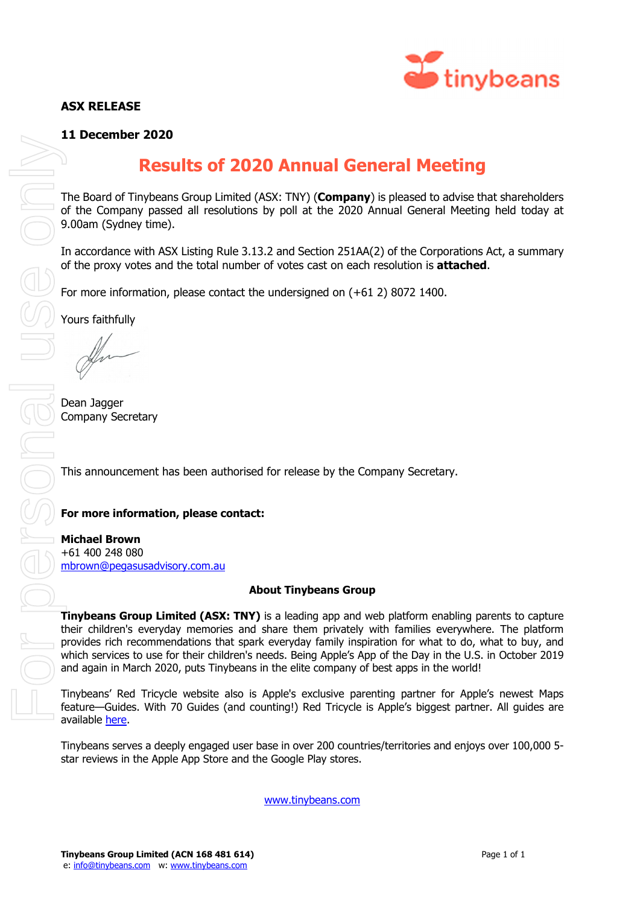## **ASX RELEASE**



### **11 December 2020**

# **Results of 2020 Annual General Meeting**

The Board of Tinybeans Group Limited (ASX: TNY) (**Company**) is pleased to advise that shareholders of the Company passed all resolutions by poll at the 2020 Annual General Meeting held today at 9.00am (Sydney time).

In accordance with ASX Listing Rule 3.13.2 and Section 251AA(2) of the Corporations Act, a summary of the proxy votes and the total number of votes cast on each resolution is **attached**.

For more information, please contact the undersigned on (+61 2) 8072 1400.

Yours faithfully

Dean Jagger Company Secretary

This announcement has been authorised for release by the Company Secretary.

#### **For more information, please contact:**

**Michael Brown**  +61 400 248 080 mbrown@pegasusadvisory.com.au

#### **About Tinybeans Group**

**Tinybeans Group Limited (ASX: TNY)** is a leading app and web platform enabling parents to capture their children's everyday memories and share them privately with families everywhere. The platform provides rich recommendations that spark everyday family inspiration for what to do, what to buy, and which services to use for their children's needs. Being Apple's App of the Day in the U.S. in October 2019 and again in March 2020, puts Tinybeans in the elite company of best apps in the world!

Tinybeans' Red Tricycle website also is Apple's exclusive parenting partner for Apple's newest Maps feature—Guides. With 70 Guides (and counting!) Red Tricycle is Apple's biggest partner. All guides are available here.

Tinybeans serves a deeply engaged user base in over 200 countries/territories and enjoys over 100,000 5 star reviews in the Apple App Store and the Google Play stores.

www.tinybeans.com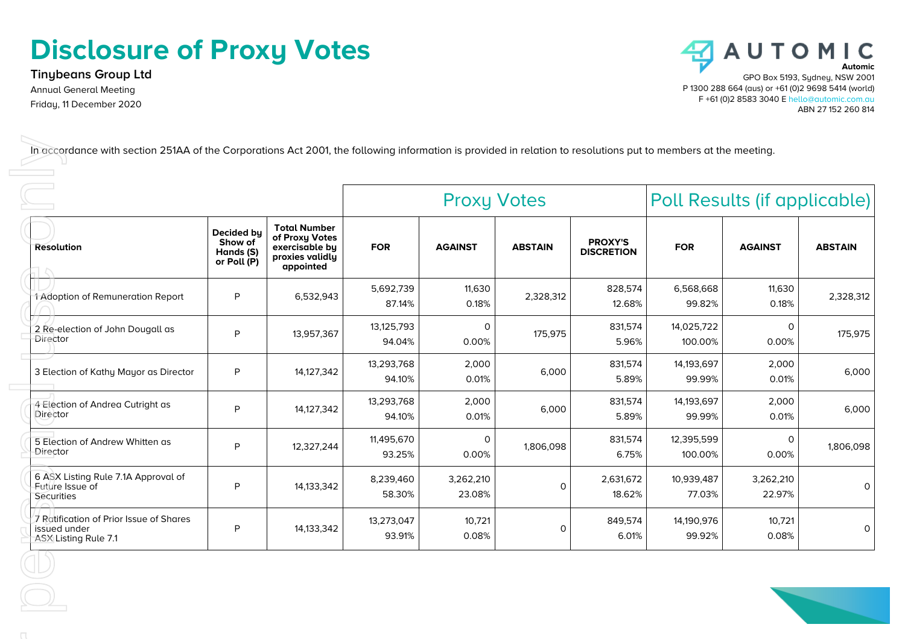# **Disclosure of Proxy Votes**

**Tinybeans Group Ltd** Annual General Meeting Friday, 11 December 2020



|                                                                                 |                                                   |                                                                                         |                      | <b>Proxy Votes</b>   |                | Poll Results (if applicable)        |                       |                     |                |
|---------------------------------------------------------------------------------|---------------------------------------------------|-----------------------------------------------------------------------------------------|----------------------|----------------------|----------------|-------------------------------------|-----------------------|---------------------|----------------|
| <b>Resolution</b>                                                               | Decided by<br>Show of<br>Hands (S)<br>or Poll (P) | <b>Total Number</b><br>of Proxy Votes<br>exercisable by<br>proxies validly<br>appointed | <b>FOR</b>           | <b>AGAINST</b>       | <b>ABSTAIN</b> | <b>PROXY'S</b><br><b>DISCRETION</b> | <b>FOR</b>            | <b>AGAINST</b>      | <b>ABSTAIN</b> |
| 1 Adoption of Remuneration Report                                               | P                                                 | 6,532,943                                                                               | 5,692,739<br>87.14%  | 11,630<br>0.18%      | 2,328,312      | 828,574<br>12.68%                   | 6,568,668<br>99.82%   | 11,630<br>0.18%     | 2,328,312      |
| 2 Re-election of John Dougall as<br>Director                                    | P                                                 | 13,957,367                                                                              | 13,125,793<br>94.04% | $\mathbf 0$<br>0.00% | 175,975        | 831,574<br>5.96%                    | 14,025,722<br>100.00% | 0<br>0.00%          | 175,975        |
| 3 Election of Kathy Mayor as Director                                           | P                                                 | 14,127,342                                                                              | 13,293,768<br>94.10% | 2,000<br>0.01%       | 6,000          | 831,574<br>5.89%                    | 14,193,697<br>99.99%  | 2,000<br>0.01%      | 6,000          |
| 4 Election of Andrea Cutright as<br>Director                                    | P                                                 | 14,127,342                                                                              | 13,293,768<br>94.10% | 2,000<br>0.01%       | 6,000          | 831,574<br>5.89%                    | 14,193,697<br>99.99%  | 2,000<br>0.01%      | 6,000          |
| 5 Election of Andrew Whitten as<br>Director                                     | P                                                 | 12,327,244                                                                              | 11,495,670<br>93.25% | $\mathbf 0$<br>0.00% | 1,806,098      | 831,574<br>6.75%                    | 12,395,599<br>100.00% | 0<br>0.00%          | 1,806,098      |
| 6 ASX Listing Rule 7.1A Approval of<br>Future Issue of<br>Securities            | P                                                 | 14,133,342                                                                              | 8,239,460<br>58.30%  | 3,262,210<br>23.08%  | $\Omega$       | 2,631,672<br>18.62%                 | 10,939,487<br>77.03%  | 3,262,210<br>22.97% | 0              |
| 7 Ratification of Prior Issue of Shares<br>issued under<br>ASX Listing Rule 7.1 | P                                                 | 14,133,342                                                                              | 13,273,047<br>93.91% | 10,721<br>0.08%      | 0              | 849,574<br>6.01%                    | 14,190,976<br>99.92%  | 10,721<br>0.08%     | 0              |

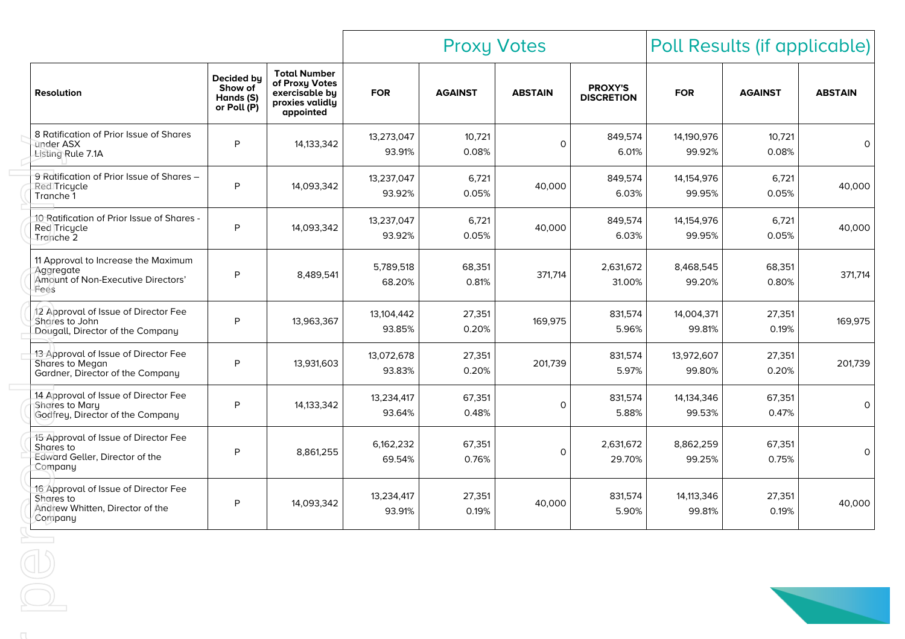| Decided by<br><b>Resolution</b><br>Hands (S)<br>or Poll (P)<br>8 Ratification of Prior Issue of Shares<br>under ASX<br>Listing Rule 7.1A<br>9 Ratification of Prior Issue of Shares - | Show of<br>P | <b>Total Number</b><br>of Proxy Votes<br>exercisable by<br>proxies validly<br>appointed<br>14, 133, 342 | <b>FOR</b><br>13,273,047 | <b>AGAINST</b><br>10,721 | <b>ABSTAIN</b> | <b>PROXY'S</b><br><b>DISCRETION</b> | <b>FOR</b>           | <b>AGAINST</b>  | <b>ABSTAIN</b> |
|---------------------------------------------------------------------------------------------------------------------------------------------------------------------------------------|--------------|---------------------------------------------------------------------------------------------------------|--------------------------|--------------------------|----------------|-------------------------------------|----------------------|-----------------|----------------|
|                                                                                                                                                                                       |              |                                                                                                         |                          |                          |                |                                     |                      |                 |                |
|                                                                                                                                                                                       |              |                                                                                                         | 93.91%                   | 0.08%                    | $\mathsf{O}$   | 849,574<br>6.01%                    | 14,190,976<br>99.92% | 10,721<br>0.08% | 0              |
| Red Tricycle<br>Tranche 1                                                                                                                                                             | P            | 14,093,342                                                                                              | 13,237,047<br>93.92%     | 6,721<br>0.05%           | 40,000         | 849,574<br>6.03%                    | 14,154,976<br>99.95% | 6,721<br>0.05%  | 40,000         |
| 10 Ratification of Prior Issue of Shares -<br>Red Tricycle<br>Tranche 2                                                                                                               | P            | 14,093,342                                                                                              | 13,237,047<br>93.92%     | 6,721<br>0.05%           | 40,000         | 849,574<br>6.03%                    | 14,154,976<br>99.95% | 6,721<br>0.05%  | 40,000         |
| 11 Approval to Increase the Maximum<br>Aggregate<br>Amount of Non-Executive Directors'<br>Fees                                                                                        | P            | 8,489,541                                                                                               | 5,789,518<br>68.20%      | 68,351<br>0.81%          | 371,714        | 2,631,672<br>31.00%                 | 8,468,545<br>99.20%  | 68,351<br>0.80% | 371,714        |
| 12 Approval of Issue of Director Fee<br>Shares to John<br>Dougall, Director of the Company                                                                                            | P            | 13,963,367                                                                                              | 13,104,442<br>93.85%     | 27,351<br>0.20%          | 169,975        | 831,574<br>5.96%                    | 14,004,371<br>99.81% | 27,351<br>0.19% | 169,975        |
| 13 Approval of Issue of Director Fee<br>Shares to Megan<br>Gardner, Director of the Company                                                                                           | P            | 13,931,603                                                                                              | 13,072,678<br>93.83%     | 27,351<br>0.20%          | 201,739        | 831,574<br>5.97%                    | 13,972,607<br>99.80% | 27,351<br>0.20% | 201,739        |
| 14 Approval of Issue of Director Fee<br>Shares to Mary<br>Godfrey, Director of the Company                                                                                            | P            | 14, 133, 342                                                                                            | 13,234,417<br>93.64%     | 67,351<br>0.48%          | $\mathsf{O}$   | 831,574<br>5.88%                    | 14,134,346<br>99.53% | 67,351<br>0.47% | 0              |
| 15 Approval of Issue of Director Fee<br>Shares to<br>Edward Geller, Director of the<br>Company                                                                                        | P            | 8,861,255                                                                                               | 6,162,232<br>69.54%      | 67,351<br>0.76%          | $\mathbf 0$    | 2,631,672<br>29.70%                 | 8,862,259<br>99.25%  | 67,351<br>0.75% | 0              |
| 16 Approval of Issue of Director Fee<br>Shares to<br>Andrew Whitten, Director of the<br>Company                                                                                       | P            | 14,093,342                                                                                              | 13,234,417<br>93.91%     | 27,351<br>0.19%          | 40,000         | 831,574<br>5.90%                    | 14,113,346<br>99.81% | 27,351<br>0.19% | 40,000         |